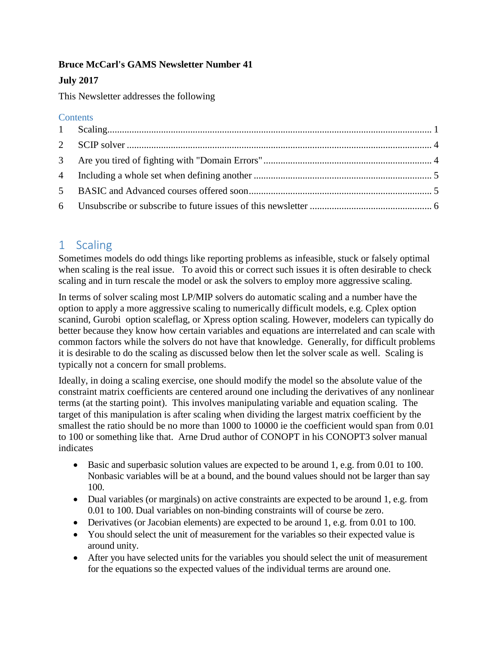#### **Bruce McCarl's GAMS Newsletter Number 41**

## **July 2017**

This Newsletter addresses the following

### **Contents**

# <span id="page-0-0"></span>1 Scaling

Sometimes models do odd things like reporting problems as infeasible, stuck or falsely optimal when scaling is the real issue. To avoid this or correct such issues it is often desirable to check scaling and in turn rescale the model or ask the solvers to employ more aggressive scaling.

In terms of solver scaling most LP/MIP solvers do automatic scaling and a number have the option to apply a more aggressive scaling to numerically difficult models, e.g. Cplex option scanind, Gurobi option scaleflag, or Xpress option scaling. However, modelers can typically do better because they know how certain variables and equations are interrelated and can scale with common factors while the solvers do not have that knowledge. Generally, for difficult problems it is desirable to do the scaling as discussed below then let the solver scale as well. Scaling is typically not a concern for small problems.

Ideally, in doing a scaling exercise, one should modify the model so the absolute value of the constraint matrix coefficients are centered around one including the derivatives of any nonlinear terms (at the starting point). This involves manipulating variable and equation scaling. The target of this manipulation is after scaling when dividing the largest matrix coefficient by the smallest the ratio should be no more than 1000 to 10000 ie the coefficient would span from 0.01 to 100 or something like that. Arne Drud author of CONOPT in his CONOPT3 solver manual indicates

- Basic and superbasic solution values are expected to be around 1, e.g. from 0.01 to 100. Nonbasic variables will be at a bound, and the bound values should not be larger than say 100.
- Dual variables (or marginals) on active constraints are expected to be around 1, e.g. from 0.01 to 100. Dual variables on non-binding constraints will of course be zero.
- Derivatives (or Jacobian elements) are expected to be around 1, e.g. from 0.01 to 100.
- You should select the unit of measurement for the variables so their expected value is around unity.
- After you have selected units for the variables you should select the unit of measurement for the equations so the expected values of the individual terms are around one.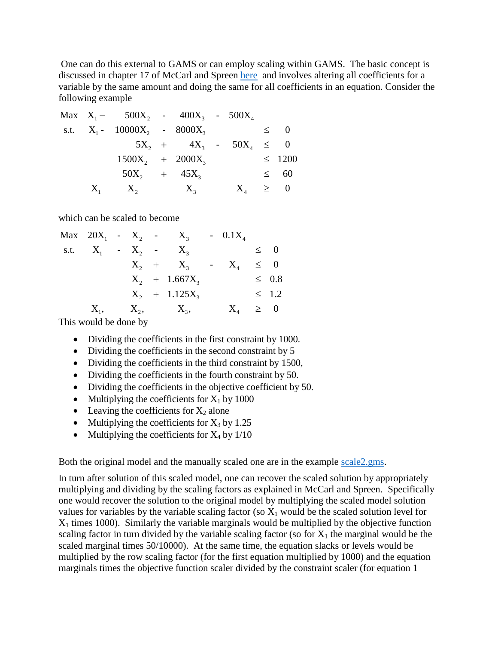One can do this external to GAMS or can employ scaling within GAMS. The basic concept is discussed in chapter 17 of McCarl and Spreen [here](http://agecon2.tamu.edu/people/faculty/mccarl-bruce/mccspr/new17.pdf) and involves altering all coefficients for a variable by the same amount and doing the same for all coefficients in an equation. Consider the following example

| Max                                     | $X_1 - 500X_2 - 400X_3 - 500X_4$  |
|-----------------------------------------|-----------------------------------|
| s.t.                                    | $X_1 - 10000X_2 - 8000X_3 \leq 0$ |
| $5X_2 + 4X_3 - 50X_4 \leq 0$            |                                   |
| $1500X_2 + 2000X_3 \leq 1200$           |                                   |
| $50X_2 + 45X_3 \leq 60$                 |                                   |
| $X_1 - X_2 - X_3 \leq X_3 - X_4 \leq 0$ |                                   |

which can be scaled to become

|            |  | Max $20X_1 - X_2 - X_3$ | $-0.1X_4$ |            |
|------------|--|-------------------------|-----------|------------|
| s.t. $X_1$ |  | $-X_2$ $-X_3$           |           | $\leq 0$   |
|            |  | $X_2 + X_3$             | $- X_4$   | $\leq 0$   |
|            |  | $X_2$ + 1.667 $X_3$     |           | $\leq$ 0.8 |
|            |  | $X_2$ + 1.125 $X_3$     |           | $\leq$ 1.2 |
| $X_1$      |  | $X_2, \qquad X_3,$      | $X_4$     | $\geq 0$   |
|            |  |                         |           |            |

This would be done by

- Dividing the coefficients in the first constraint by 1000.
- Dividing the coefficients in the second constraint by 5
- Dividing the coefficients in the third constraint by 1500,
- Dividing the coefficients in the fourth constraint by 50.
- Dividing the coefficients in the objective coefficient by 50.
- Multiplying the coefficients for  $X_1$  by 1000
- Leaving the coefficients for  $X_2$  alone
- Multiplying the coefficients for  $X_3$  by 1.25
- Multiplying the coefficients for  $X_4$  by  $1/10$

Both the original model and the manually scaled one are in the example [scale2.gms.](https://www.gams.com/fileadmin/community/mccarlarchive/scale2.gms)

In turn after solution of this scaled model, one can recover the scaled solution by appropriately multiplying and dividing by the scaling factors as explained in McCarl and Spreen. Specifically one would recover the solution to the original model by multiplying the scaled model solution values for variables by the variable scaling factor (so  $X_1$  would be the scaled solution level for  $X_1$  times 1000). Similarly the variable marginals would be multiplied by the objective function scaling factor in turn divided by the variable scaling factor (so for  $X_1$  the marginal would be the scaled marginal times 50/10000). At the same time, the equation slacks or levels would be multiplied by the row scaling factor (for the first equation multiplied by 1000) and the equation marginals times the objective function scaler divided by the constraint scaler (for equation 1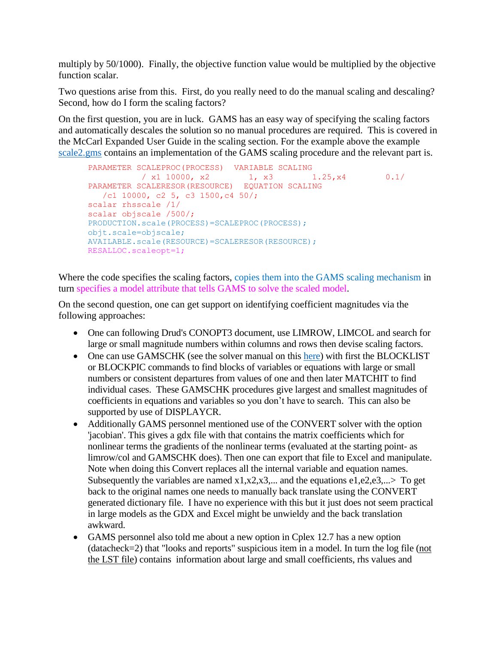multiply by 50/1000). Finally, the objective function value would be multiplied by the objective function scalar.

Two questions arise from this. First, do you really need to do the manual scaling and descaling? Second, how do I form the scaling factors?

On the first question, you are in luck. GAMS has an easy way of specifying the scaling factors and automatically descales the solution so no manual procedures are required. This is covered in the McCarl Expanded User Guide in the scaling section. For the example above the example [scale2.gms](https://www.gams.com/fileadmin/community/mccarlarchive/scale2.gms) contains an implementation of the GAMS scaling procedure and the relevant part is.

```
PARAMETER SCALEPROC(PROCESS) VARIABLE SCALING
         / x1 10000, x2 1, x3 1.25, x4 0.1/PARAMETER SCALERESOR(RESOURCE) EQUATION SCALING
  \binom{c1\ 10000}{c2\ 5}, c3 1500, c4 50/;
scalar rhsscale /1/
scalar objscale /500/;
PRODUCTION.scale(PROCESS)=SCALEPROC(PROCESS);
objt.scale=objscale;
AVAILABLE.scale(RESOURCE)=SCALERESOR(RESOURCE);
RESALLOC.scaleopt=1;
```
Where the code specifies the scaling factors, copies them into the GAMS scaling mechanism in turn specifies a model attribute that tells GAMS to solve the scaled model.

On the second question, one can get support on identifying coefficient magnitudes via the following approaches:

- One can following Drud's CONOPT3 document, use LIMROW, LIMCOL and search for large or small magnitude numbers within columns and rows then devise scaling factors.
- One can use GAMSCHK (see the solver manual on this [here\)](https://www.gams.com/latest/docs/solvers/gamschk/index.html) with first the BLOCKLIST or BLOCKPIC commands to find blocks of variables or equations with large or small numbers or consistent departures from values of one and then later MATCHIT to find individual cases. These GAMSCHK procedures give largest and smallest magnitudes of coefficients in equations and variables so you don't have to search. This can also be supported by use of DISPLAYCR.
- Additionally GAMS personnel mentioned use of the CONVERT solver with the option 'jacobian'. This gives a gdx file with that contains the matrix coefficients which for nonlinear terms the gradients of the nonlinear terms (evaluated at the starting point- as limrow/col and GAMSCHK does). Then one can export that file to Excel and manipulate. Note when doing this Convert replaces all the internal variable and equation names. Subsequently the variables are named  $x1, x2, x3, \dots$  and the equations e1,e2,e3, $\dots$ > To get back to the original names one needs to manually back translate using the CONVERT generated dictionary file. I have no experience with this but it just does not seem practical in large models as the GDX and Excel might be unwieldy and the back translation awkward.
- GAMS personnel also told me about a new option in Cplex 12.7 has a new option (datacheck=2) that "looks and reports" suspicious item in a model. In turn the log file (not the LST file) contains information about large and small coefficients, rhs values and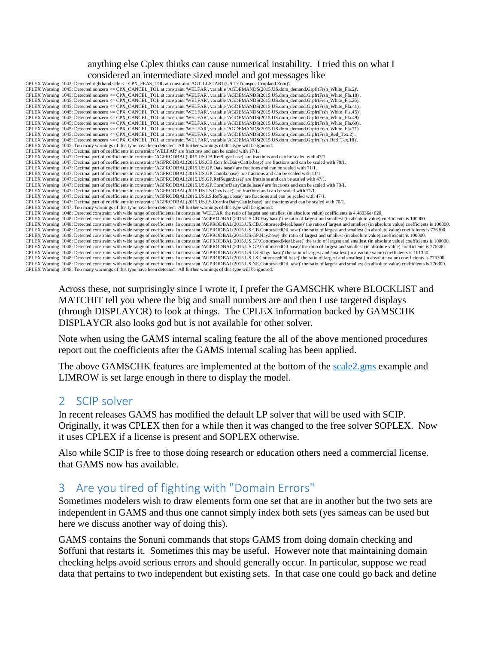#### anything else Cplex thinks can cause numerical instability. I tried this on what I considered an intermediate sized model and got messages like

| CPLEX Warning 1043: Detected righthand side <= CPX FEAS TOL at constraint 'AGTILLSTART(US.TxTranspec.Cropland.Zero)'.                                                                                            |
|------------------------------------------------------------------------------------------------------------------------------------------------------------------------------------------------------------------|
| CPLEX Warning 1045: Detected nonzero <= CPX CANCEL TOL at constraint 'WELFAR', variable 'AGDEMANDS(2015.US.dom demand.GrpfrtFrsh White Fla.2)'.                                                                  |
| CPLEX Warning 1045: Detected nonzero <= CPX CANCEL TOL at constraint 'WELFAR', variable 'AGDEMANDS(2015.US.dom demand.GrpfrtFrsh White Fla.18)'.                                                                 |
| CPLEX Warning 1045: Detected nonzero <= CPX_CANCEL_TOL at constraint 'WELFAR', variable 'AGDEMANDS(2015.US.dom_demand.GrpfrtFrsh_White_Fla.26)'.                                                                 |
| CPLEX Warning 1045: Detected nonzero <= CPX CANCEL TOL at constraint 'WELFAR', variable 'AGDEMANDS(2015.US.dom demand.GrpfrtFrsh White Fla.41)'.                                                                 |
| CPLEX Warning 1045: Detected nonzero <= CPX CANCEL TOL at constraint 'WELFAR', variable 'AGDEMANDS(2015.US.dom demand.GrpfrtFrsh White Fla.45)'.                                                                 |
| CPLEX Warning 1045: Detected nonzero <= CPX_CANCEL_TOL at constraint 'WELFAR', variable 'AGDEMANDS(2015.US.dom_demand.GrpfrtFrsh_White_Fla.49)'.                                                                 |
| CPLEX Warning 1045: Detected nonzero <= CPX CANCEL TOL at constraint 'WELFAR', variable 'AGDEMANDS(2015.US.dom demand.GrpfrtFrsh White Fla.60)'.                                                                 |
| CPLEX Warning 1045: Detected nonzero <= CPX CANCEL TOL at constraint 'WELFAR', variable 'AGDEMANDS(2015.US.dom demand.GrpfrtFrsh White Fla.71)'.                                                                 |
| CPLEX Warning 1045: Detected nonzero <= CPX CANCEL TOL at constraint 'WELFAR', variable 'AGDEMANDS(2015.US.dom demand.GrpfrtFrsh Red Tex.2)'.                                                                    |
| CPLEX Warning 1045: Detected nonzero <= CPX CANCEL TOL at constraint 'WELFAR', variable 'AGDEMANDS(2015.US.dom demand.GrpfrtFrsh Red Tex.18)'.                                                                   |
| CPLEX Warning 1045: Too many warnings of this type have been detected. All further warnings of this type will be ignored.                                                                                        |
| CPLEX Warning 1047: Decimal part of coefficients in constraint 'WELFAR' are fractions and can be scaled with 17/1.                                                                                               |
| CPLEX Warning 1047: Decimal part of coefficients in constraint 'AGPRODBAL(2015.US.CB.RefSugar.base)' are fractions and can be scaled with 47/1.                                                                  |
| CPLEX Warning 1047: Decimal part of coefficients in constraint 'AGPRODBAL(2015.US.CB.CornforDairyCattle.base)' are fractions and can be scaled with 70/1.                                                        |
| CPLEX Warning 1047: Decimal part of coefficients in constraint 'AGPRODBAL(2015.US.GP.Oats.base)' are fractions and can be scaled with 71/1.                                                                      |
| CPLEX Warning 1047: Decimal part of coefficients in constraint 'AGPRODBAL(2015.US.GP.Canola.base)' are fractions and can be scaled with 11/1.                                                                    |
| CPLEX Warning 1047: Decimal part of coefficients in constraint 'AGPRODBAL(2015.US.GP.RefSugar.base)' are fractions and can be scaled with 47/1.                                                                  |
| CPLEX Warning 1047: Decimal part of coefficients in constraint 'AGPRODBAL(2015.US.GP.CornforDairyCattle.base)' are fractions and can be scaled with 70/1.                                                        |
| CPLEX Warning 1047: Decimal part of coefficients in constraint 'AGPRODBAL(2015.US.LS.Oats.base)' are fractions and can be scaled with 71/1.                                                                      |
| CPLEX Warning 1047: Decimal part of coefficients in constraint 'AGPRODBAL(2015.US.LS.RefSugar.base)' are fractions and can be scaled with 47/1.                                                                  |
| CPLEX Warning 1047: Decimal part of coefficients in constraint 'AGPRODBAL(2015.US.LS.CornforDairyCattle.base)' are fractions and can be scaled with 70/1.                                                        |
| CPLEX Warning 1047: Too many warnings of this type have been detected. All further warnings of this type will be ignored.                                                                                        |
| CPLEX Warning 1048: Detected constraint with wide range of coefficients. In constraint 'WELFAR' the ratio of largest and smallest (in absolute value) coefficients is 4.48036e+020.                              |
| CPLEX Warning 1048: Detected constraint with wide range of coefficients. In constraint 'AGPRODBAL(2015.US.CB.Hay.base)' the ratio of largest and smallest (in absolute value) coefficients is 100000.            |
| CPLEX Warning 1048: Detected constraint with wide range of coefficients. In constraint 'AGPRODBAL(2015.US.CB.CottonseedMeal.base)' the ratio of largest and smallest (in absolute value) coefficients is 100000. |
| CPLEX Warning 1048: Detected constraint with wide range of coefficients. In constraint 'AGPRODBAL(2015.US.CB.CottonseedOil.base)' the ratio of largest and smallest (in absolute value) coefficients is 776300.  |
| CPLEX Warning 1048: Detected constraint with wide range of coefficients. In constraint 'AGPRODBAL(2015.US.GP.Hay.base)' the ratio of largest and smallest (in absolute value) coefficients is 100000.            |
| CPLEX Warning 1048: Detected constraint with wide range of coefficients. In constraint 'AGPRODBAL(2015.US.GP.CottonseedMeal.base)' the ratio of largest and smallest (in absolute value) coefficients is 100000. |
| CPLEX Warning 1048: Detected constraint with wide range of coefficients. In constraint 'AGPRODBAL(2015.US.GP.CottonseedOil.base)' the ratio of largest and smallest (in absolute value) coefficients is 776300.  |
| CPLEX Warning 1048: Detected constraint with wide range of coefficients. In constraint 'AGPRODBAL(2015.US.LS.Silage.base)' the ratio of largest and smallest (in absolute value) coefficients is 101350.         |
| CPLEX Warning 1048: Detected constraint with wide range of coefficients. In constraint 'AGPRODBAL(2015.US.LS.CottonseedOil.base)' the ratio of largest and smallest (in absolute value) coefficients is 776300.  |
| CPLEX Warning 1048: Detected constraint with wide range of coefficients. In constraint 'AGPRODBAL(2015.US.NE.CottonseedOil.base)' the ratio of largest and smallest (in absolute value) coefficients is 776300.  |
| CDI PV What is 1040. The continuation of the time hand have detected All Catherine and the continuation of the trained                                                                                           |

CPLEX Warning 1048: Too many warnings of this type have been detected. All further warnings of this type will be ignored.

Across these, not surprisingly since I wrote it, I prefer the GAMSCHK where BLOCKLIST and MATCHIT tell you where the big and small numbers are and then I use targeted displays (through DISPLAYCR) to look at things. The CPLEX information backed by GAMSCHK DISPLAYCR also looks god but is not available for other solver.

Note when using the GAMS internal scaling feature the all of the above mentioned procedures report out the coefficients after the GAMS internal scaling has been applied.

The above GAMSCHK features are implemented at the bottom of the scale 2.gms example and LIMROW is set large enough in there to display the model.

## <span id="page-3-0"></span>2 SCIP solver

In recent releases GAMS has modified the default LP solver that will be used with SCIP. Originally, it was CPLEX then for a while then it was changed to the free solver SOPLEX. Now it uses CPLEX if a license is present and SOPLEX otherwise.

Also while SCIP is free to those doing research or education others need a commercial license. that GAMS now has available.

# <span id="page-3-1"></span>3 Are you tired of fighting with "Domain Errors"

Sometimes modelers wish to draw elements form one set that are in another but the two sets are independent in GAMS and thus one cannot simply index both sets (yes sameas can be used but here we discuss another way of doing this).

GAMS contains the \$onuni commands that stops GAMS from doing domain checking and \$offuni that restarts it. Sometimes this may be useful. However note that maintaining domain checking helps avoid serious errors and should generally occur. In particular, suppose we read data that pertains to two independent but existing sets. In that case one could go back and define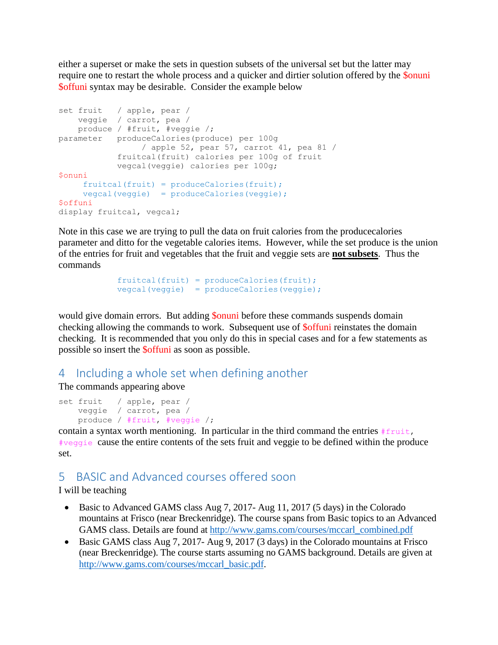either a superset or make the sets in question subsets of the universal set but the latter may require one to restart the whole process and a quicker and dirtier solution offered by the \$onuni \$offuni syntax may be desirable. Consider the example below

```
set fruit / apple, pear /
    veggie / carrot, pea /
    produce / #fruit, #veggie /;
parameter produceCalories(produce) per 100g
                 / apple 52, pear 57, carrot 41, pea 81 /
            fruitcal(fruit) calories per 100g of fruit
             vegcal(veggie) calories per 100g;
$onuni
    fruitcal(fruit) = produceCalories(fruit); vegcal(veggie) = produceCalories(veggie);
$offuni
display fruitcal, vegcal;
```
Note in this case we are trying to pull the data on fruit calories from the producecalories parameter and ditto for the vegetable calories items. However, while the set produce is the union of the entries for fruit and vegetables that the fruit and veggie sets are **not subsets**. Thus the commands

```
fruitcal(fruit) = produceCalories(fruit);
vegcal(veggie) = produceCalories(veggie);
```
would give domain errors. But adding **\$onuni** before these commands suspends domain checking allowing the commands to work. Subsequent use of \$offuni reinstates the domain checking. It is recommended that you only do this in special cases and for a few statements as possible so insert the \$offuni as soon as possible.

## <span id="page-4-0"></span>4 Including a whole set when defining another

The commands appearing above

```
set fruit / apple, pear /
    veggie / carrot, pea /
    produce / #fruit, #veggie /;
```
contain a syntax worth mentioning. In particular in the third command the entries  $#$ fruit, #veggie cause the entire contents of the sets fruit and veggie to be defined within the produce set.

## <span id="page-4-1"></span>5 BASIC and Advanced courses offered soon

I will be teaching

- Basic to Advanced GAMS class Aug 7, 2017- Aug 11, 2017 (5 days) in the Colorado mountains at Frisco (near Breckenridge). The course spans from Basic topics to an Advanced GAMS class. Details are found at [http://www.gams.com/courses/mccarl\\_combined.pdf](http://www.gams.com/courses/mccarl_combined.pdf)
- Basic GAMS class Aug 7, 2017- Aug 9, 2017 (3 days) in the Colorado mountains at Frisco (near Breckenridge). The course starts assuming no GAMS background. Details are given at [http://www.gams.com/courses/mccarl\\_basic.pdf.](http://www.gams.com/courses/mccarl_basic.pdf)